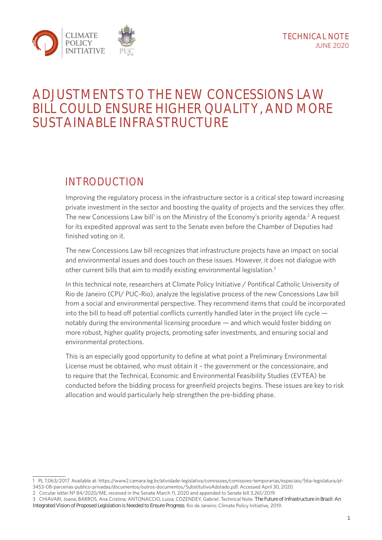

# **ADJUSTMENTS TO THE NEW CONCESSIONS LAW BILL COULD ENSURE HIGHER QUALITY, AND MORE SUSTAINABLE INFRASTRUCTURE**

## **INTRODUCTION**

Improving the regulatory process in the infrastructure sector is a critical step toward increasing private investment in the sector and boosting the quality of projects and the services they offer. The new Concessions Law bill<sup>1</sup> is on the Ministry of the Economy's priority agenda.<sup>2</sup> A request for its expedited approval was sent to the Senate even before the Chamber of Deputies had finished voting on it.

The new Concessions Law bill recognizes that infrastructure projects have an impact on social and environmental issues and does touch on these issues. However, it does not dialogue with other current bills that aim to modify existing environmental legislation.<sup>3</sup>

In this technical note, researchers at Climate Policy Initiative / Pontifical Catholic University of Rio de Janeiro (CPI/ PUC-Rio), analyze the legislative process of the new Concessions Law bill from a social and environmental perspective. They recommend items that could be incorporated into the bill to head off potential conflicts currently handled later in the project life cycle notably during the environmental licensing procedure — and which would foster bidding on more robust, higher quality projects, promoting safer investments, and ensuring social and environmental protections.

This is an especially good opportunity to define at what point a Preliminary Environmental License must be obtained, who must obtain it – the government or the concessionaire, and to require that the Technical, Economic and Environmental Feasibility Studies (EVTEA) be conducted before the bidding process for greenfield projects begins. These issues are key to risk allocation and would particularly help strengthen the pre-bidding phase.

- 2 Circular letter Nº 84/2020/ME, received in the Senate March 11, 2020 and appended to Senate bill 3,261/2019.
- 3 CHIAVARI, Joana; BARROS, Ana Cristina; ANTONACCIO, Luiza; COZENDEY, Gabriel. Technical Note. The Future of Infrastructure in Brazil: An Integrated Vision of Proposed Legislation is Needed to Ensure Progress. Rio de Janeiro: Climate Policy Initiative, 2019.

<sup>1</sup> PL 7,063/2017. Available at: [https://www2.camara.leg.br/atividade-legislativa/comissoes/comissoes-temporarias/especiais/56a-legislatura/pl-](https://www2.camara.leg.br/atividade-legislativa/comissoes/comissoes-temporarias/especiais/56a-legislatura/pl-3453-08-parcerias-publico-privadas/documentos/outros-documentos/SubstitutivoAdotado.pdf)[3453-08-parcerias-publico-privadas/documentos/outros-documentos/SubstitutivoAdotado.pdf.](https://www2.camara.leg.br/atividade-legislativa/comissoes/comissoes-temporarias/especiais/56a-legislatura/pl-3453-08-parcerias-publico-privadas/documentos/outros-documentos/SubstitutivoAdotado.pdf) Accessed April 30, 2020.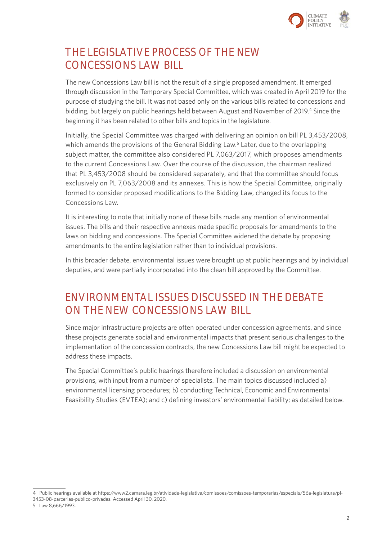

## **THE LEGISLATIVE PROCESS OF THE NEW CONCESSIONS LAW BILL**

The new Concessions Law bill is not the result of a single proposed amendment. It emerged through discussion in the Temporary Special Committee, which was created in April 2019 for the purpose of studying the bill. It was not based only on the various bills related to concessions and bidding, but largely on public hearings held between August and November of 2019.<sup>4</sup> Since the beginning it has been related to other bills and topics in the legislature.

Initially, the Special Committee was charged with delivering an opinion on bill PL 3,453/2008, which amends the provisions of the General Bidding Law.<sup>5</sup> Later, due to the overlapping subject matter, the committee also considered PL 7,063/2017, which proposes amendments to the current Concessions Law. Over the course of the discussion, the chairman realized that PL 3,453/2008 should be considered separately, and that the committee should focus exclusively on PL 7,063/2008 and its annexes. This is how the Special Committee, originally formed to consider proposed modifications to the Bidding Law, changed its focus to the Concessions Law.

It is interesting to note that initially none of these bills made any mention of environmental issues. The bills and their respective annexes made specific proposals for amendments to the laws on bidding and concessions. The Special Committee widened the debate by proposing amendments to the entire legislation rather than to individual provisions.

In this broader debate, environmental issues were brought up at public hearings and by individual deputies, and were partially incorporated into the clean bill approved by the Committee.

## **ENVIRONMENTAL ISSUES DISCUSSED IN THE DEBATE ON THE NEW CONCESSIONS LAW BILL**

Since major infrastructure projects are often operated under concession agreements, and since these projects generate social and environmental impacts that present serious challenges to the implementation of the concession contracts, the new Concessions Law bill might be expected to address these impacts.

The Special Committee's public hearings therefore included a discussion on environmental provisions, with input from a number of specialists. The main topics discussed included a) environmental licensing procedures; b) conducting Technical, Economic and Environmental Feasibility Studies (EVTEA); and c) defining investors' environmental liability; as detailed below.

<sup>4</sup> Public hearings available at [https://www2.camara.leg.br/atividade-legislativa/comissoes/comissoes-temporarias/especiais/56a-legislatura/pl-](https://www2.camara.leg.br/atividade-legislativa/comissoes/comissoes-temporarias/especiais/56a-legislatura/pl-3453-08-parcerias-publico-privadas)[3453-08-parcerias-publico-privadas](https://www2.camara.leg.br/atividade-legislativa/comissoes/comissoes-temporarias/especiais/56a-legislatura/pl-3453-08-parcerias-publico-privadas). Accessed April 30, 2020.

<sup>5</sup> Law 8,666/1993.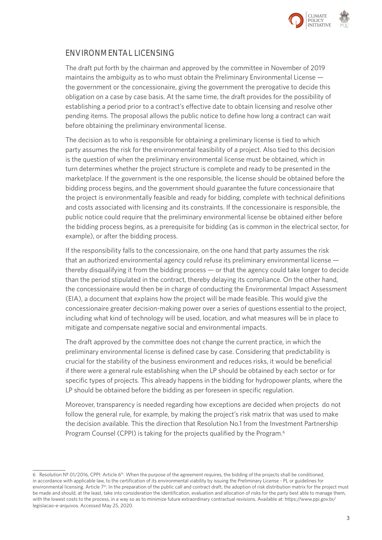

### **ENVIRONMENTAL LICENSING**

The draft put forth by the chairman and approved by the committee in November of 2019 maintains the ambiguity as to who must obtain the Preliminary Environmental License the government or the concessionaire, giving the government the prerogative to decide this obligation on a case by case basis. At the same time, the draft provides for the possibility of establishing a period prior to a contract's effective date to obtain licensing and resolve other pending items. The proposal allows the public notice to define how long a contract can wait before obtaining the preliminary environmental license.

The decision as to who is responsible for obtaining a preliminary license is tied to which party assumes the risk for the environmental feasibility of a project. Also tied to this decision is the question of when the preliminary environmental license must be obtained, which in turn determines whether the project structure is complete and ready to be presented in the marketplace. If the government is the one responsible, the license should be obtained before the bidding process begins, and the government should guarantee the future concessionaire that the project is environmentally feasible and ready for bidding, complete with technical definitions and costs associated with licensing and its constraints. If the concessionaire is responsible, the public notice could require that the preliminary environmental license be obtained either before the bidding process begins, as a prerequisite for bidding (as is common in the electrical sector, for example), or after the bidding process.

If the responsibility falls to the concessionaire, on the one hand that party assumes the risk that an authorized environmental agency could refuse its preliminary environmental license thereby disqualifying it from the bidding process — or that the agency could take longer to decide than the period stipulated in the contract, thereby delaying its compliance. On the other hand, the concessionaire would then be in charge of conducting the Environmental Impact Assessment (EIA), a document that explains how the project will be made feasible. This would give the concessionaire greater decision-making power over a series of questions essential to the project, including what kind of technology will be used, location, and what measures will be in place to mitigate and compensate negative social and environmental impacts.

The draft approved by the committee does not change the current practice, in which the preliminary environmental license is defined case by case. Considering that predictability is crucial for the stability of the business environment and reduces risks, it would be beneficial if there were a general rule establishing when the LP should be obtained by each sector or for specific types of projects. This already happens in the bidding for hydropower plants, where the LP should be obtained before the bidding as per foreseen in specific regulation.

Moreover, transparency is needed regarding how exceptions are decided when projects do not follow the general rule, for example, by making the project's risk matrix that was used to make the decision available. This the direction that Resolution No.1 from the Investment Partnership Program Counsel (CPPI) is taking for the projects qualified by the Program.<sup>6</sup>

<sup>6</sup> Resolution Nº 01/2016, CPPI: Article 6<sup>th</sup>. When the purpose of the agreement requires, the bidding of the projects shall be conditioned, in accordance with applicable law, to the certification of its environmental viability by issuing the Preliminary License - PL or guidelines for environmental licensing. Article 7<sup>th</sup>. In the preparation of the public call and contract draft, the adoption of risk distribution matrix for the project must be made and should, at the least, take into consideration the identification, evaluation and allocation of risks for the party best able to manage them, with the lowest costs to the process, in a way so as to minimize future extraordinary contractual revisions. Available at: [https://www.ppi.gov.br/](https://www.ppi.gov.br/legislacao-e-arquivos) [legislacao-e-arquivos.](https://www.ppi.gov.br/legislacao-e-arquivos) Accessed May 25, 2020.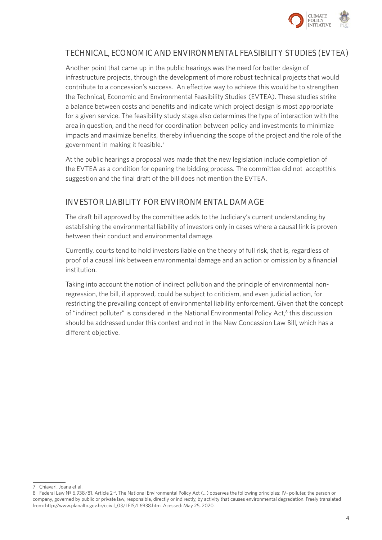

### **TECHNICAL, ECONOMIC AND ENVIRONMENTAL FEASIBILITY STUDIES (EVTEA)**

Another point that came up in the public hearings was the need for better design of infrastructure projects, through the development of more robust technical projects that would contribute to a concession's success. An effective way to achieve this would be to strengthen the Technical, Economic and Environmental Feasibility Studies (EVTEA). These studies strike a balance between costs and benefits and indicate which project design is most appropriate for a given service. The feasibility study stage also determines the type of interaction with the area in question, and the need for coordination between policy and investments to minimize impacts and maximize benefits, thereby influencing the scope of the project and the role of the government in making it feasible.7

At the public hearings a proposal was made that the new legislation include completion of the EVTEA as a condition for opening the bidding process. The committee did not acceptthis suggestion and the final draft of the bill does not mention the EVTEA.

### **INVESTOR LIABILITY FOR ENVIRONMENTAL DAMAGE**

The draft bill approved by the committee adds to the Judiciary's current understanding by establishing the environmental liability of investors only in cases where a causal link is proven between their conduct and environmental damage.

Currently, courts tend to hold investors liable on the theory of full risk, that is, regardless of proof of a causal link between environmental damage and an action or omission by a financial institution.

Taking into account the notion of indirect pollution and the principle of environmental nonregression, the bill, if approved, could be subject to criticism, and even judicial action, for restricting the prevailing concept of environmental liability enforcement. Given that the concept of "indirect polluter" is considered in the National Environmental Policy Act,<sup>8</sup> this discussion should be addressed under this context and not in the New Concession Law Bill, which has a different objective.

<sup>7</sup> Chiavari, Joana et al.

<sup>8</sup> Federal Law Nº 6,938/81. Article 2<sup>nd</sup>. The National Environmental Policy Act (...) observes the following principles: IV- polluter, the person or company, governed by public or private law, responsible, directly or indirectly, by activity that causes environmental degradation. Freely translated from: [http://www.planalto.gov.br/ccivil\\_03/LEIS/L6938.htm](http://www.planalto.gov.br/ccivil_03/LEIS/L6938.htm). Acessed: May 25, 2020.